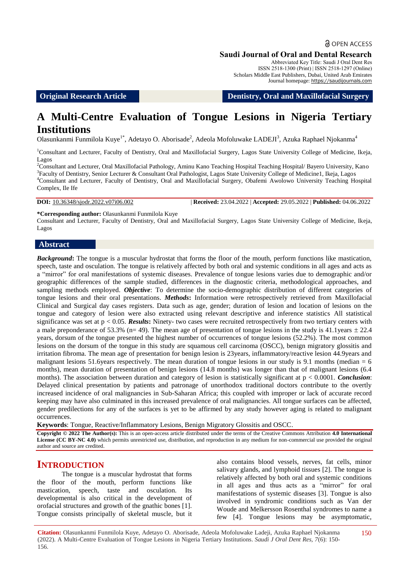# **a** OPEN ACCESS

#### **Saudi Journal of Oral and Dental Research**

Abbreviated Key Title: Saudi J Oral Dent Res ISSN 2518-1300 (Print) | ISSN 2518-1297 (Online) Scholars Middle East Publishers, Dubai, United Arab Emirates Journal homepage: https://saudijournals.com

**Original Research Article Dentistry, Oral and Maxillofacial Surgery**

# **A Multi-Centre Evaluation of Tongue Lesions in Nigeria Tertiary Institutions**

Olasunkanmi Funmilola Kuye<sup>1\*</sup>, Adetayo O. Aborisade<sup>2</sup>, Adeola Mofoluwake LADEJI<sup>3</sup>, Azuka Raphael Njokanma<sup>4</sup>

<sup>1</sup>Consultant and Lecturer, Faculty of Dentistry, Oral and Maxillofacial Surgery, Lagos State University College of Medicine, Ikeja, Lagos

<sup>2</sup>Consultant and Lecturer, Oral Maxillofacial Pathology, Aminu Kano Teaching Hospital Teaching Hospital/ Bayero University, Kano <sup>3</sup>Faculty of Dentistry, Senior Lecturer & Consultant Oral Pathologist, Lagos State University College of Medicine1, Ikeja, Lagos <sup>4</sup>Consultant and Lecturer, Faculty of Dentistry, Oral and Maxillofacial Surgery, Obafemi Awolowo University Teaching Hospital Complex, Ile Ife

**DOI:** 10.36348/sjodr.2022.v07i06.002 | **Received:** 23.04.2022 | **Accepted:** 29.05.2022 | **Published:** 04.06.2022

**\*Corresponding author:** Olasunkanmi Funmilola Kuye

Consultant and Lecturer, Faculty of Dentistry, Oral and Maxillofacial Surgery, Lagos State University College of Medicine, Ikeja, Lagos

#### **Abstract**

*Background***:** The tongue is a muscular hydrostat that forms the floor of the mouth, perform functions like mastication, speech, taste and osculation. The tongue is relatively affected by both oral and systemic conditions in all ages and acts as a "mirror" for oral manifestations of systemic diseases. Prevalence of tongue lesions varies due to demographic and/or geographic differences of the sample studied, differences in the diagnostic criteria, methodological approaches, and sampling methods employed. *Objective*: To determine the socio-demographic distribution of different categories of tongue lesions and their oral presentations. *Methods***:** Information were retrospectively retrieved from Maxillofacial Clinical and Surgical day cases registers. Data such as age, gender; duration of lesion and location of lesions on the tongue and category of lesion were also extracted using relevant descriptive and inference statistics All statistical significance was set at p < 0.05. *Results***:** Ninety- two cases were recruited retrospectively from two tertiary centers with a male preponderance of 53.3% (n= 49). The mean age of presentation of tongue lesions in the study is  $41.1$ years  $\pm 22.4$ years, dorsum of the tongue presented the highest number of occurrences of tongue lesions (52.2%). The most common lesions on the dorsum of the tongue in this study are squamous cell carcinoma (OSCC), benign migratory glossitis and irritation fibroma. The mean age of presentation for benign lesion is 23years, inflammatory/reactive lesion 44.9years and malignant lesions 51.6years respectively. The mean duration of tongue lesions in our study is 9.1 months (median = 6 months), mean duration of presentation of benign lesions (14.8 months) was longer than that of malignant lesions (6.4 months). The association between duration and category of lesion is statistically significant at p < 0.0001. *Conclusion*: Delayed clinical presentation by patients and patronage of unorthodox traditional doctors contribute to the overtly increased incidence of oral malignancies in Sub-Saharan Africa; this coupled with improper or lack of accurate record keeping may have also culminated in this increased prevalence of oral malignancies. All tongue surfaces can be affected, gender predilections for any of the surfaces is yet to be affirmed by any study however aging is related to malignant occurrences.

**Keywords**: Tongue, Reactive/Inflammatory Lesions, Benign Migratory Glossitis and OSCC.

**Copyright © 2022 The Author(s):** This is an open-access article distributed under the terms of the Creative Commons Attribution **4.0 International License (CC BY-NC 4.0)** which permits unrestricted use, distribution, and reproduction in any medium for non-commercial use provided the original author and source are credited.

# **INTRODUCTION**

The tongue is a muscular hydrostat that forms the floor of the mouth, perform functions like mastication, speech, taste and osculation. Its developmental is also critical in the development of orofacial structures and growth of the gnathic bones [1]. Tongue consists principally of skeletal muscle, but it also contains blood vessels, nerves, fat cells, minor salivary glands, and lymphoid tissues [2]. The tongue is relatively affected by both oral and systemic conditions in all ages and thus acts as a "mirror" for oral manifestations of systemic diseases [3]. Tongue is also involved in syndromic conditions such as Van der Woude and Melkersson Rosenthal syndromes to name a few [4]. Tongue lesions may be asymptomatic,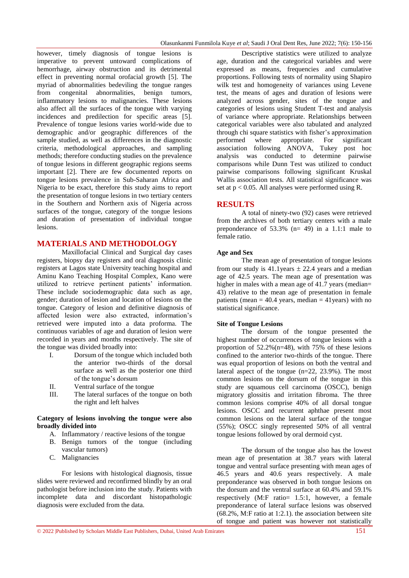however, timely diagnosis of tongue lesions is imperative to prevent untoward complications of hemorrhage, airway obstruction and its detrimental effect in preventing normal orofacial growth [5]. The myriad of abnormalities bedeviling the tongue ranges from congenital abnormalities, benign tumors, inflammatory lesions to malignancies. These lesions also affect all the surfaces of the tongue with varying incidences and predilection for specific areas [5]. Prevalence of tongue lesions varies world-wide due to demographic and/or geographic differences of the sample studied, as well as differences in the diagnostic criteria, methodological approaches, and sampling methods; therefore conducting studies on the prevalence of tongue lesions in different geographic regions seems important [2]. There are few documented reports on tongue lesions prevalence in Sub-Saharan Africa and Nigeria to be exact, therefore this study aims to report the presentation of tongue lesions in two tertiary centers in the Southern and Northern axis of Nigeria across surfaces of the tongue, category of the tongue lesions and duration of presentation of individual tongue lesions.

# **MATERIALS AND METHODOLOGY**

Maxillofacial Clinical and Surgical day cases registers, biopsy day registers and oral diagnosis clinic registers at Lagos state University teaching hospital and Aminu Kano Teaching Hospital Complex, Kano were utilized to retrieve pertinent patients' information. These include sociodemographic data such as age, gender; duration of lesion and location of lesions on the tongue. Category of lesion and definitive diagnosis of affected lesion were also extracted, information"s retrieved were imputed into a data proforma. The continuous variables of age and duration of lesion were recorded in years and months respectively. The site of the tongue was divided broadly into:

- I. Dorsum of the tongue which included both the anterior two-thirds of the dorsal surface as well as the posterior one third of the tongue's dorsum
- II. Ventral surface of the tongue
- III. The lateral surfaces of the tongue on both the right and left halves

#### **Category of lesions involving the tongue were also broadly divided into**

- A. Inflammatory / reactive lesions of the tongue
- B. Benign tumors of the tongue (including vascular tumors)
- C. Malignancies

For lesions with histological diagnosis, tissue slides were reviewed and reconfirmed blindly by an oral pathologist before inclusion into the study. Patients with incomplete data and discordant histopathologic diagnosis were excluded from the data.

Descriptive statistics were utilized to analyze age, duration and the categorical variables and were expressed as means, frequencies and cumulative proportions. Following tests of normality using Shapiro wilk test and homogeneity of variances using Levene test, the means of ages and duration of lesions were analyzed across gender, sites of the tongue and categories of lesions using Student T-test and analysis of variance where appropriate. Relationships between categorical variables were also tabulated and analyzed through chi square statistics with fisher"s approximation performed where appropriate. For significant association following ANOVA, Tukey post hoc analysis was conducted to determine pairwise comparisons while Dunn Test was utilized to conduct pairwise comparisons following significant Kruskal Wallis association tests. All statistical significance was set at  $p < 0.05$ . All analyses were performed using R.

# **RESULTS**

A total of ninety-two (92) cases were retrieved from the archives of both tertiary centers with a male preponderance of  $53.3\%$  (n= 49) in a 1.1:1 male to female ratio.

### **Age and Sex**

The mean age of presentation of tongue lesions from our study is  $41.1$ years  $\pm 22.4$  years and a median age of 42.5 years. The mean age of presentation was higher in males with a mean age of 41.7 years (median= 43) relative to the mean age of presentation in female patients (mean  $= 40.4$  years, median  $= 41$ years) with no statistical significance.

#### **Site of Tongue Lesions**

The dorsum of the tongue presented the highest number of occurrences of tongue lesions with a proportion of 52.2%(n=48), with 75% of these lesions confined to the anterior two-thirds of the tongue. There was equal proportion of lesions on both the ventral and lateral aspect of the tongue (n=22, 23.9%). The most common lesions on the dorsum of the tongue in this study are squamous cell carcinoma (OSCC), benign migratory glossitis and irritation fibroma. The three common lesions comprise 40% of all dorsal tongue lesions. OSCC and recurrent aphthae present most common lesions on the lateral surface of the tongue (55%); OSCC singly represented 50% of all ventral tongue lesions followed by oral dermoid cyst.

The dorsum of the tongue also has the lowest mean age of presentation at 38.7 years with lateral tongue and ventral surface presenting with mean ages of 46.5 years and 40.6 years respectively. A male preponderance was observed in both tongue lesions on the dorsum and the ventral surface at 60.4% and 59.1% respectively (M:F ratio= 1.5:1, however, a female preponderance of lateral surface lesions was observed (68.2%, M:F ratio at 1:2.1). the association between site of tongue and patient was however not statistically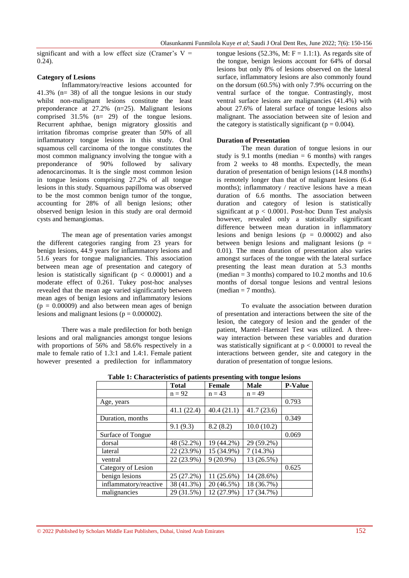significant and with a low effect size (Cramer's  $V =$ 0.24).

## **Category of Lesions**

Inflammatory/reactive lesions accounted for 41.3% (n= 38) of all the tongue lesions in our study whilst non-malignant lesions constitute the least preponderance at 27.2% (n=25). Malignant lesions comprised 31.5% (n= 29) of the tongue lesions. Recurrent aphthae, benign migratory glossitis and irritation fibromas comprise greater than 50% of all inflammatory tongue lesions in this study. Oral squamous cell carcinoma of the tongue constitutes the most common malignancy involving the tongue with a preponderance of 90% followed by salivary adenocarcinomas. It is the single most common lesion in tongue lesions comprising 27.2% of all tongue lesions in this study. Squamous papilloma was observed to be the most common benign tumor of the tongue, accounting for 28% of all benign lesions; other observed benign lesion in this study are oral dermoid cysts and hemangiomas.

The mean age of presentation varies amongst the different categories ranging from 23 years for benign lesions, 44.9 years for inflammatory lesions and 51.6 years for tongue malignancies. This association between mean age of presentation and category of lesion is statistically significant ( $p < 0.00001$ ) and a moderate effect of 0.261. Tukey post-hoc analyses revealed that the mean age varied significantly between mean ages of benign lesions and inflammatory lesions  $(p = 0.00009)$  and also between mean ages of benign lesions and malignant lesions ( $p = 0.000002$ ).

There was a male predilection for both benign lesions and oral malignancies amongst tongue lesions with proportions of 56% and 58.6% respectively in a male to female ratio of 1.3:1 and 1.4:1. Female patient however presented a predilection for inflammatory

tongue lesions  $(52.3\%, M: F = 1.1:1)$ . As regards site of the tongue, benign lesions account for 64% of dorsal lesions but only 8% of lesions observed on the lateral surface, inflammatory lesions are also commonly found on the dorsum (60.5%) with only 7.9% occurring on the ventral surface of the tongue. Contrastingly, most ventral surface lesions are malignancies (41.4%) with about 27.6% of lateral surface of tongue lesions also malignant. The association between site of lesion and the category is statistically significant ( $p = 0.004$ ).

## **Duration of Presentation**

The mean duration of tongue lesions in our study is 9.1 months (median  $= 6$  months) with ranges from 2 weeks to 48 months. Expectedly, the mean duration of presentation of benign lesions (14.8 months) is remotely longer than that of malignant lesions (6.4 months); inflammatory / reactive lesions have a mean duration of 6.6 months. The association between duration and category of lesion is statistically significant at  $p < 0.0001$ . Post-hoc Dunn Test analysis however, revealed only a statistically significant difference between mean duration in inflammatory lesions and benign lesions  $(p = 0.00002)$  and also between benign lesions and malignant lesions ( $p =$ 0.01). The mean duration of presentation also varies amongst surfaces of the tongue with the lateral surface presenting the least mean duration at 5.3 months (median  $=$  3 months) compared to 10.2 months and 10.6 months of dorsal tongue lesions and ventral lesions  $(median = 7 months)$ .

To evaluate the association between duration of presentation and interactions between the site of the lesion, the category of lesion and the gender of the patient, Mantel–Haenszel Test was utilized. A threeway interaction between these variables and duration was statistically significant at  $p < 0.00001$  to reveal the interactions between gender, site and category in the duration of presentation of tongue lesions.

| ruole 11 characteriotto of patiento preochang<br>when compact repromp |              |               |             |                |
|-----------------------------------------------------------------------|--------------|---------------|-------------|----------------|
|                                                                       | <b>Total</b> | <b>Female</b> | <b>Male</b> | <b>P-Value</b> |
|                                                                       | $n = 92$     | $n = 43$      | $n = 49$    |                |
| Age, years                                                            |              |               |             | 0.793          |
|                                                                       | 41.1 (22.4)  | 40.4(21.1)    | 41.7(23.6)  |                |
| Duration, months                                                      |              |               |             | 0.349          |
|                                                                       | 9.1(9.3)     | 8.2(8.2)      | 10.0(10.2)  |                |
| Surface of Tongue                                                     |              |               |             | 0.069          |
| dorsal                                                                | 48 (52.2%)   | 19 (44.2%)    | 29 (59.2%)  |                |
| lateral                                                               | 22 (23.9%)   | 15 (34.9%)    | 7(14.3%)    |                |
| ventral                                                               | 22 (23.9%)   | $9(20.9\%)$   | 13 (26.5%)  |                |
| Category of Lesion                                                    |              |               |             | 0.625          |
| benign lesions                                                        | 25 (27.2%)   | 11 (25.6%)    | 14 (28.6%)  |                |
| inflammatory/reactive                                                 | 38 (41.3%)   | 20 (46.5%)    | 18 (36.7%)  |                |
| malignancies                                                          | 29 (31.5%)   | 12 (27.9%)    | 17 (34.7%)  |                |

**Table 1: Characteristics of patients presenting with tongue lesions**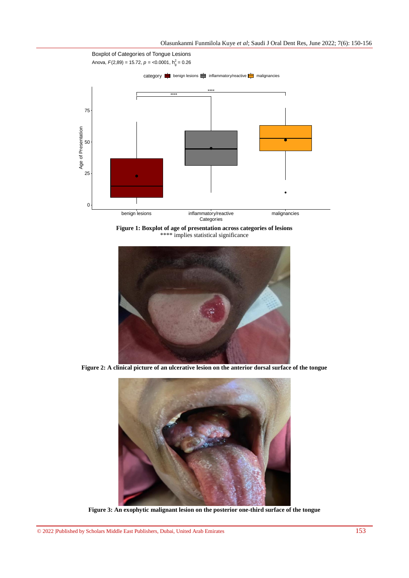

**Figure 1: Boxplot of age of presentation across categories of lesions** \*\*\*\* implies statistical significance



**Figure 2: A clinical picture of an ulcerative lesion on the anterior dorsal surface of the tongue**



**Figure 3: An exophytic malignant lesion on the posterior one-third surface of the tongue**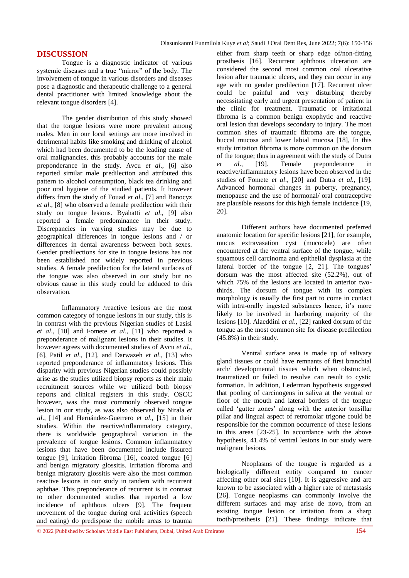## **DISCUSSION**

Tongue is a diagnostic indicator of various systemic diseases and a true "mirror" of the body. The involvement of tongue in various disorders and diseases pose a diagnostic and therapeutic challenge to a general dental practitioner with limited knowledge about the relevant tongue disorders [4].

The gender distribution of this study showed that the tongue lesions were more prevalent among males. Men in our local settings are more involved in detrimental habits like smoking and drinking of alcohol which had been documented to be the leading cause of oral malignancies, this probably accounts for the male preponderance in the study. Avcu *et al*., [6] also reported similar male predilection and attributed this pattern to alcohol consumption, black tea drinking and poor oral hygiene of the studied patients. It however differs from the study of Fouad *et al*., [7] and Banocyz *et al*., [8] who observed a female predilection with their study on tongue lesions. Byahatti *et al*., [9] also reported a female predominance in their study. Discrepancies in varying studies may be due to geographical differences in tongue lesions and / or differences in dental awareness between both sexes. Gender predilections for site in tongue lesions has not been established nor widely reported in previous studies. A female predilection for the lateral surfaces of the tongue was also observed in our study but no obvious cause in this study could be adduced to this observation.

Inflammatory /reactive lesions are the most common category of tongue lesions in our study, this is in contrast with the previous Nigerian studies of Lasisi *et al*., [10] and Fomete *et al*., [11] who reported a preponderance of malignant lesions in their studies. It however agrees with documented studies of Avcu *et al*., [6], Patil *et al*., [12], and Darwazeh *et al*., [13] who reported preponderance of inflammatory lesions. This disparity with previous Nigerian studies could possibly arise as the studies utilized biopsy reports as their main recruitment sources while we utilized both biopsy reports and clinical registers in this study. OSCC however, was the most commonly observed tongue lesion in our study, as was also observed by Nirala *et al*., [14] and [Hernández-Guerrero](https://www.ncbi.nlm.nih.gov/pubmed/?term=Hern%26%23x000e1%3Bndez-Guerrero%20JC%5BAuthor%5D&cauthor=true&cauthor_uid=23385493) *et al*., [15] in their studies. Within the reactive/inflammatory category, there is worldwide geographical variation in the prevalence of tongue lesions. Common inflammatory lesions that have been documented include fissured tongue [9], irritation fibroma [16], coated tongue [6] and benign migratory glossitis. Irritation fibroma and benign migratory glossitis were also the most common reactive lesions in our study in tandem with recurrent aphthae. This preponderance of recurrent is in contrast to other documented studies that reported a low incidence of aphthous ulcers [9]. The frequent movement of the tongue during oral activities (speech and eating) do predispose the mobile areas to trauma

either from sharp teeth or sharp edge of/non-fitting prosthesis [16]. Recurrent aphthous ulceration are considered the second most common oral ulcerative lesion after traumatic ulcers, and they can occur in any age with no gender predilection [17]. Recurrent ulcer could be painful and very disturbing thereby necessitating early and urgent presentation of patient in the clinic for treatment. Traumatic or irritational fibroma is a common benign exophytic and reactive oral lesion that develops secondary to injury. The most common sites of traumatic fibroma are the tongue, buccal mucosa and lower labial mucosa [18], In this study irritation fibroma is more common on the dorsum of the tongue; thus in agreement with the study of Dutra *et al*., [19]. Female preponderance in reactive/inflammatory lesions have been observed in the studies of Fomete *et al*., [20] and Dutra *et al.*, [19]. Advanced hormonal changes in puberty, pregnancy, menopause and the use of hormonal/ oral contraceptive are plausible reasons for this high female incidence [19, 20].

Different authors have documented preferred anatomic location for specific lesions [21], for example, mucus extravasation cyst (mucocele) are often encountered at the ventral surface of the tongue, while squamous cell carcinoma and epithelial dysplasia at the lateral border of the tongue [2, 21]. The tongues' dorsum was the most affected site (52.2%), out of which 75% of the lesions are located in anterior twothirds. The dorsum of tongue with its complex morphology is usually the first part to come in contact with intra-orally ingested substances hence, it's more likely to be involved in harboring majority of the lesions [10]. Alaeddini *et al*., [22] ranked dorsum of the tongue as the most common site for disease predilection (45.8%) in their study.

Ventral surface area is made up of salivary gland tissues or could have remnants of first branchial arch/ developmental tissues which when obstructed, traumatized or failed to resolve can result to cystic formation. In addition, Lederman hypothesis suggested that pooling of carcinogens in saliva at the ventral or floor of the mouth and lateral borders of the tongue called 'gutter zones' along with the anterior tonsillar pillar and lingual aspect of retromolar trigone could be responsible for the common occurrence of these lesions in this areas [23-25]. In accordance with the above hypothesis, 41.4% of ventral lesions in our study were malignant lesions.

Neoplasms of the tongue is regarded as a biologically different entity compared to cancer affecting other oral sites [10]. It is aggressive and are known to be associated with a higher rate of metastasis [26]. Tongue neoplasms can commonly involve the different surfaces and may arise de novo, from an existing tongue lesion or irritation from a sharp tooth/prosthesis [21]. These findings indicate that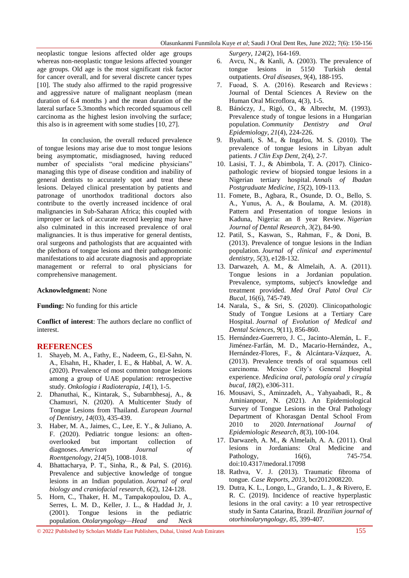neoplastic tongue lesions affected older age groups whereas non-neoplastic tongue lesions affected younger age groups. Old age is the most significant risk factor for cancer overall, and for several discrete cancer types [10]. The study also affirmed to the rapid progressive and aggressive nature of malignant neoplasm (mean duration of 6.4 months ) and the mean duration of the lateral surface 5.3months which recorded squamous cell carcinoma as the highest lesion involving the surface; this also is in agreement with some studies [10, 27].

In conclusion, the overall reduced prevalence of tongue lesions may arise due to most tongue lesions being asymptomatic, misdiagnosed, having reduced number of specialists "oral medicine physicians" managing this type of disease condition and inability of general dentists to accurately spot and treat these lesions. Delayed clinical presentation by patients and patronage of unorthodox traditional doctors also contribute to the overtly increased incidence of oral malignancies in Sub-Saharan Africa; this coupled with improper or lack of accurate record keeping may have also culminated in this increased prevalence of oral malignancies. It is thus imperative for general dentists, oral surgeons and pathologists that are acquainted with the plethora of tongue lesions and their pathognomonic manifestations to aid accurate diagnosis and appropriate management or referral to oral physicians for comprehensive management.

#### **Acknowledgment:** None

**Funding:** No funding for this article

**Conflict of interest**: The authors declare no conflict of interest.

## **REFERENCES**

- 1. Shayeb, M. A., Fathy, E., Nadeem, G., El-Sahn, N. A., Elsahn, H., Khader, I. E., & Habbal, A. W. A. (2020). Prevalence of most common tongue lesions among a group of UAE population: retrospective study. *Onkologia i Radioterapia*, *14*(1), 1-5.
- 2. Dhanuthai, K., Kintarak, S., Subarnbhesaj, A., & Chamusri, N. (2020). A Multicenter Study of Tongue Lesions from Thailand. *European Journal of Dentistry*, *14*(03), 435-439.
- 3. Haber, M. A., Jaimes, C., Lee, E. Y., & Juliano, A. F. (2020). Pediatric tongue lesions: an oftenoverlooked but important collection of diagnoses. *American Journal of Roentgenology*, *214*(5), 1008-1018.
- 4. Bhattacharya, P. T., Sinha, R., & Pal, S. (2016). Prevalence and subjective knowledge of tongue lesions in an Indian population. *Journal of oral biology and craniofacial research*, *6*(2), 124-128.
- 5. Horn, C., Thaker, H. M., Tampakopoulou, D. A., Serres, L. M. D., Keller, J. L., & Haddad Jr, J. (2001). Tongue lesions in the pediatric population. *Otolaryngology—Head and Neck*

*Surgery*, *124*(2), 164-169.

- 6. Avcu, N., & Kanli, A. (2003). The prevalence of tongue lesions in 5150 Turkish dental outpatients. *Oral diseases*, *9*(4), 188-195.
- 7. Fuoad, S. A. (2016). Research and Reviews : Journal of Dental Sciences A Review on the Human Oral Microflora, 4(3), 1-5.
- 8. Bánóczy, J., Rigó, O., & Albrecht, M. (1993). Prevalence study of tongue lesions in a Hungarian population. *Community Dentistry and Oral Epidemiology*, *21*(4), 224-226.
- 9. Byahatti, S. M., & Ingafou, M. S. (2010). The prevalence of tongue lesions in Libyan adult patients. *J Clin Exp Dent*, 2(4), 2-7.
- 10. Lasisi, T. J., & Abimbola, T. A. (2017). Clinicopathologic review of biopsied tongue lesions in a Nigerian tertiary hospital. *Annals of Ibadan Postgraduate Medicine*, *15*(2), 109-113.
- 11. Fomete, B., Agbara, R., Osunde, D. O., Bello, S. A., Yunus, A. A., & Boulama, A. M. (2018). Pattern and Presentation of tongue lesions in Kaduna, Nigeria: an 8 year Review. *Nigerian Journal of Dental Research*, *3*(2), 84-90.
- 12. Patil, S., Kaswan, S., Rahman, F., & Doni, B. (2013). Prevalence of tongue lesions in the Indian population. *Journal of clinical and experimental dentistry*, *5*(3), e128-132.
- 13. Darwazeh, A. M., & Almelaih, A. A. (2011). Tongue lesions in a Jordanian population. Prevalence, symptoms, subject's knowledge and treatment provided. *Med Oral Patol Oral Cir Bucal*, 16(6), 745-749.
- 14. Narala, S., & Sri, S. (2020). Clinicopathologic Study of Tongue Lesions at a Tertiary Care Hospital. *Journal of Evolution of Medical and Dental Sciences*, *9*(11), 856-860.
- 15. Hernández-Guerrero, J. C., Jacinto-Alemán, L. F., Jiménez-Farfán, M. D., Macario-Hernández, A., Hernández-Flores, F., & Alcántara-Vázquez, A. (2013). Prevalence trends of oral squamous cell carcinoma. Mexico City"s General Hospital experience. *Medicina oral, patología oral y cirugía bucal*, *18*(2), e306-311.
- 16. Mousavi, S., Aminzadeh, A., Yahyaabadi, R., & Aminianpour, N. (2021). An Epidemiological Survey of Tongue Lesions in the Oral Pathology Department of Khorasgan Dental School From 2010 to 2020. *International Journal of Epidemiologic Research*, *8*(3), 100-104.
- 17. Darwazeh, A. M., & Almelaih, A. A. (2011). Oral lesions in Jordanians: Oral Medicine and Pathology, 16(6), 745-754. doi:10.4317/medoral.17098
- 18. Rathva, V. J. (2013). Traumatic fibroma of tongue. *Case Reports*, *2013*, bcr2012008220.
- 19. Dutra, K. L., Longo, L., Grando, L. J., & Rivero, E. R. C. (2019). Incidence of reactive hyperplastic lesions in the oral cavity: a 10 year retrospective study in Santa Catarina, Brazil. *Brazilian journal of otorhinolaryngology*, *85*, 399-407.

© 2022 |Published by Scholars Middle East Publishers, Dubai, United Arab Emirates 155